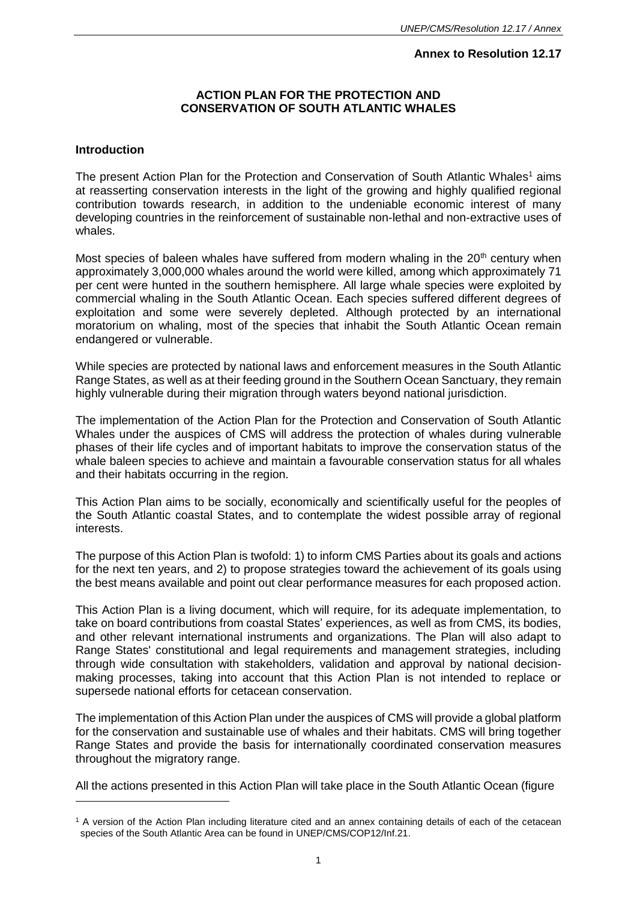## **Annex to Resolution 12.17**

## **ACTION PLAN FOR THE PROTECTION AND CONSERVATION OF SOUTH ATLANTIC WHALES**

#### **Introduction**

l

The present Action Plan for the Protection and Conservation of South Atlantic Whales<sup>1</sup> aims at reasserting conservation interests in the light of the growing and highly qualified regional contribution towards research, in addition to the undeniable economic interest of many developing countries in the reinforcement of sustainable non-lethal and non-extractive uses of whales.

Most species of baleen whales have suffered from modern whaling in the  $20<sup>th</sup>$  century when approximately 3,000,000 whales around the world were killed, among which approximately 71 per cent were hunted in the southern hemisphere. All large whale species were exploited by commercial whaling in the South Atlantic Ocean. Each species suffered different degrees of exploitation and some were severely depleted. Although protected by an international moratorium on whaling, most of the species that inhabit the South Atlantic Ocean remain endangered or vulnerable.

While species are protected by national laws and enforcement measures in the South Atlantic Range States, as well as at their feeding ground in the Southern Ocean Sanctuary, they remain highly vulnerable during their migration through waters beyond national jurisdiction.

The implementation of the Action Plan for the Protection and Conservation of South Atlantic Whales under the auspices of CMS will address the protection of whales during vulnerable phases of their life cycles and of important habitats to improve the conservation status of the whale baleen species to achieve and maintain a favourable conservation status for all whales and their habitats occurring in the region.

This Action Plan aims to be socially, economically and scientifically useful for the peoples of the South Atlantic coastal States, and to contemplate the widest possible array of regional interests.

The purpose of this Action Plan is twofold: 1) to inform CMS Parties about its goals and actions for the next ten years, and 2) to propose strategies toward the achievement of its goals using the best means available and point out clear performance measures for each proposed action.

This Action Plan is a living document, which will require, for its adequate implementation, to take on board contributions from coastal States' experiences, as well as from CMS, its bodies, and other relevant international instruments and organizations. The Plan will also adapt to Range States' constitutional and legal requirements and management strategies, including through wide consultation with stakeholders, validation and approval by national decisionmaking processes, taking into account that this Action Plan is not intended to replace or supersede national efforts for cetacean conservation.

The implementation of this Action Plan under the auspices of CMS will provide a global platform for the conservation and sustainable use of whales and their habitats. CMS will bring together Range States and provide the basis for internationally coordinated conservation measures throughout the migratory range.

All the actions presented in this Action Plan will take place in the South Atlantic Ocean (figure

<sup>1</sup> A version of the Action Plan including literature cited and an annex containing details of each of the cetacean species of the South Atlantic Area can be found in UNEP/CMS/COP12/Inf.21.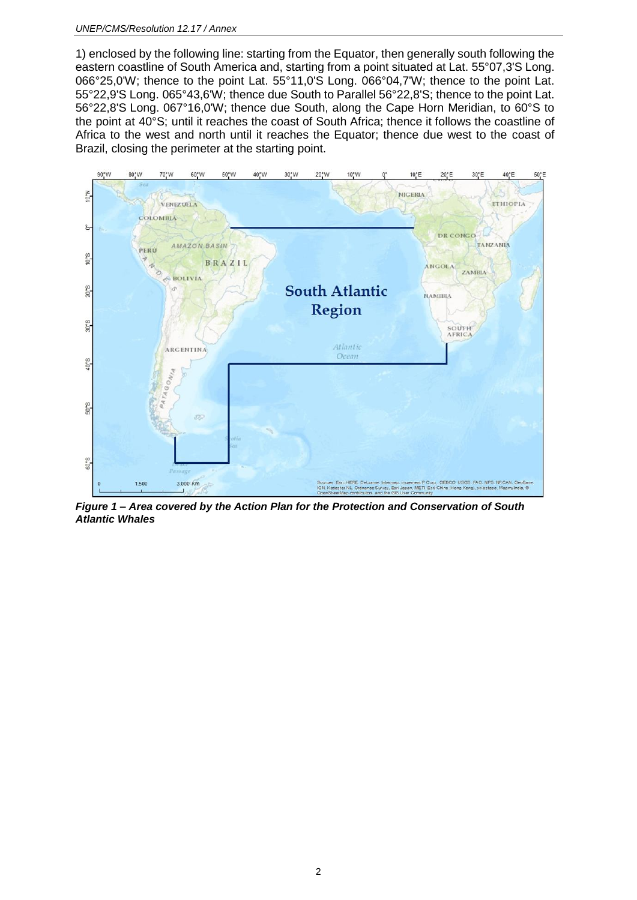1) enclosed by the following line: starting from the Equator, then generally south following the eastern coastline of South America and, starting from a point situated at Lat. 55°07,3'S Long. 066°25,0'W; thence to the point Lat. 55°11,0'S Long. 066°04,7'W; thence to the point Lat. 55°22,9'S Long. 065°43,6'W; thence due South to Parallel 56°22,8'S; thence to the point Lat. 56°22,8'S Long. 067°16,0'W; thence due South, along the Cape Horn Meridian, to 60°S to the point at 40°S; until it reaches the coast of South Africa; thence it follows the coastline of Africa to the west and north until it reaches the Equator; thence due west to the coast of Brazil, closing the perimeter at the starting point.



*Figure 1 – Area covered by the Action Plan for the Protection and Conservation of South Atlantic Whales*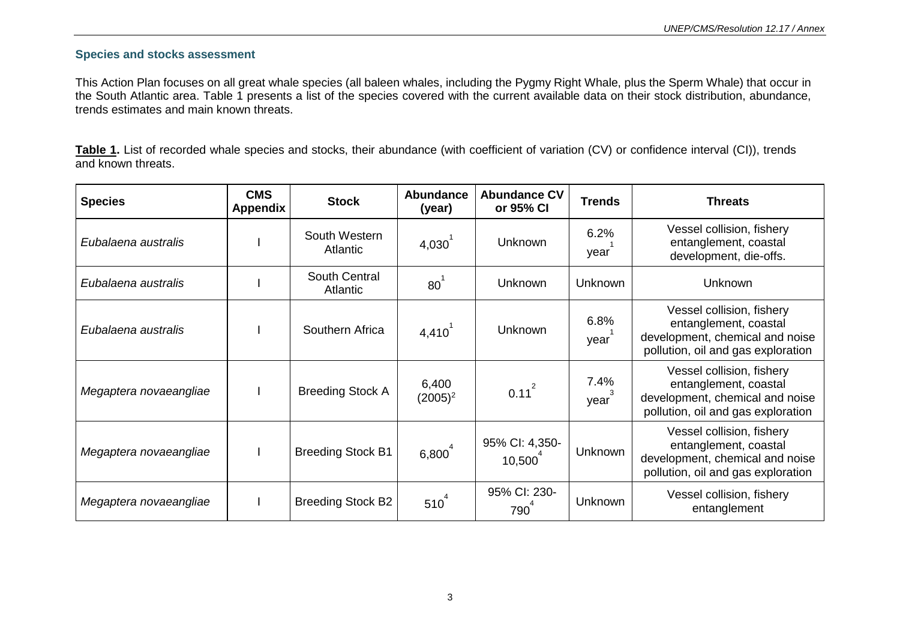### **Species and stocks assessment**

This Action Plan focuses on all great whale species (all baleen whales, including the Pygmy Right Whale, plus the Sperm Whale) that occur in the South Atlantic area. Table 1 presents a list of the species covered with the current available data on their stock distribution, abundance, trends estimates and main known threats.

Table 1. List of recorded whale species and stocks, their abundance (with coefficient of variation (CV) or confidence interval (CI)), trends and known threats.

| <b>Species</b>         | <b>CMS</b><br>Appendix | <b>Stock</b>              | <b>Abundance</b><br>(year) | <b>Abundance CV</b><br>or 95% CI | <b>Trends</b>  | <b>Threats</b>                                                                                                              |
|------------------------|------------------------|---------------------------|----------------------------|----------------------------------|----------------|-----------------------------------------------------------------------------------------------------------------------------|
| Eubalaena australis    |                        | South Western<br>Atlantic | $4,030^{\degree}$          | <b>Unknown</b>                   | 6.2%<br>year   | Vessel collision, fishery<br>entanglement, coastal<br>development, die-offs.                                                |
| Eubalaena australis    |                        | South Central<br>Atlantic | $80^1$                     | <b>Unknown</b>                   | <b>Unknown</b> | <b>Unknown</b>                                                                                                              |
| Eubalaena australis    |                        | Southern Africa           | 4,410'                     | <b>Unknown</b>                   | 6.8%<br>year   | Vessel collision, fishery<br>entanglement, coastal<br>development, chemical and noise<br>pollution, oil and gas exploration |
| Megaptera novaeangliae |                        | <b>Breeding Stock A</b>   | 6,400<br>$(2005)^2$        | $0.11^{2}$                       | 7.4%<br>year   | Vessel collision, fishery<br>entanglement, coastal<br>development, chemical and noise<br>pollution, oil and gas exploration |
| Megaptera novaeangliae |                        | <b>Breeding Stock B1</b>  | $6,800^{4}$                | 95% CI: 4,350-<br>10,500         | <b>Unknown</b> | Vessel collision, fishery<br>entanglement, coastal<br>development, chemical and noise<br>pollution, oil and gas exploration |
| Megaptera novaeangliae |                        | <b>Breeding Stock B2</b>  | $510^4$                    | 95% CI: 230-<br>790              | <b>Unknown</b> | Vessel collision, fishery<br>entanglement                                                                                   |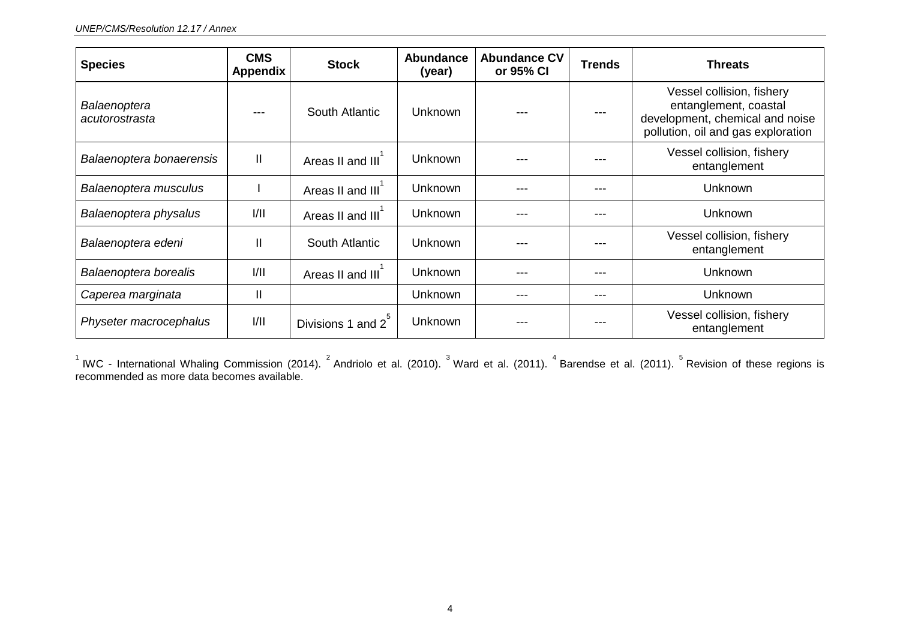| <b>Species</b>                 | <b>CMS</b><br><b>Appendix</b> | <b>Stock</b>      | <b>Abundance</b><br>(year) | <b>Abundance CV</b><br>or 95% CI | <b>Trends</b> | <b>Threats</b>                                                                                                              |
|--------------------------------|-------------------------------|-------------------|----------------------------|----------------------------------|---------------|-----------------------------------------------------------------------------------------------------------------------------|
| Balaenoptera<br>acutorostrasta |                               | South Atlantic    | <b>Unknown</b>             |                                  |               | Vessel collision, fishery<br>entanglement, coastal<br>development, chemical and noise<br>pollution, oil and gas exploration |
| Balaenoptera bonaerensis       | $\mathbf{II}$                 | Areas II and III  | Unknown                    |                                  |               | Vessel collision, fishery<br>entanglement                                                                                   |
| Balaenoptera musculus          |                               | Areas II and III  | Unknown                    | ---                              | ---           | Unknown                                                                                                                     |
| Balaenoptera physalus          | 1/11                          | Areas II and III  | Unknown                    |                                  | ---           | Unknown                                                                                                                     |
| Balaenoptera edeni             | $\mathbf{I}$                  | South Atlantic    | Unknown                    |                                  |               | Vessel collision, fishery<br>entanglement                                                                                   |
| Balaenoptera borealis          | 1/11                          | Areas II and III  | <b>Unknown</b>             |                                  | ---           | Unknown                                                                                                                     |
| Caperea marginata              | $\mathbf{I}$                  |                   | Unknown                    | ---                              | ---           | <b>Unknown</b>                                                                                                              |
| Physeter macrocephalus         | 1/11                          | Divisions 1 and 2 | Unknown                    |                                  |               | Vessel collision, fishery<br>entanglement                                                                                   |

 $^1$  IWC - International Whaling Commission (2014).  $^2$  Andriolo et al. (2010).  $^3$  Ward et al. (2011).  $^4$  Barendse et al. (2011).  $^5$  Revision of these regions is recommended as more data becomes available.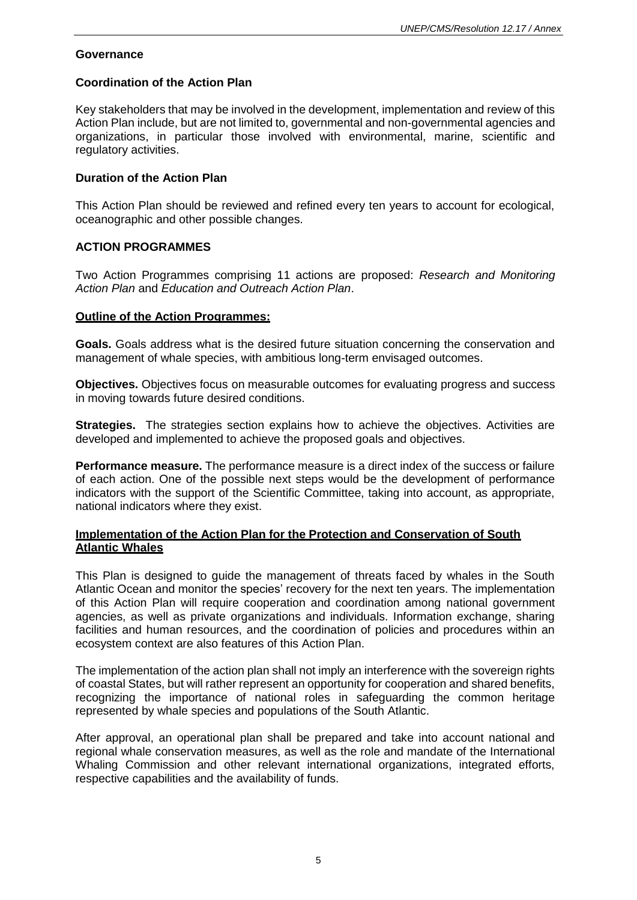#### **Governance**

### **Coordination of the Action Plan**

Key stakeholders that may be involved in the development, implementation and review of this Action Plan include, but are not limited to, governmental and non-governmental agencies and organizations, in particular those involved with environmental, marine, scientific and regulatory activities.

#### **Duration of the Action Plan**

This Action Plan should be reviewed and refined every ten years to account for ecological, oceanographic and other possible changes.

#### **ACTION PROGRAMMES**

Two Action Programmes comprising 11 actions are proposed: *Research and Monitoring Action Plan* and *Education and Outreach Action Plan*.

#### **Outline of the Action Programmes:**

**Goals.** Goals address what is the desired future situation concerning the conservation and management of whale species, with ambitious long-term envisaged outcomes.

**Objectives.** Objectives focus on measurable outcomes for evaluating progress and success in moving towards future desired conditions.

**Strategies.** The strategies section explains how to achieve the objectives. Activities are developed and implemented to achieve the proposed goals and objectives.

**Performance measure.** The performance measure is a direct index of the success or failure of each action. One of the possible next steps would be the development of performance indicators with the support of the Scientific Committee, taking into account, as appropriate, national indicators where they exist.

#### **Implementation of the Action Plan for the Protection and Conservation of South Atlantic Whales**

This Plan is designed to guide the management of threats faced by whales in the South Atlantic Ocean and monitor the species' recovery for the next ten years. The implementation of this Action Plan will require cooperation and coordination among national government agencies, as well as private organizations and individuals. Information exchange, sharing facilities and human resources, and the coordination of policies and procedures within an ecosystem context are also features of this Action Plan.

The implementation of the action plan shall not imply an interference with the sovereign rights of coastal States, but will rather represent an opportunity for cooperation and shared benefits, recognizing the importance of national roles in safeguarding the common heritage represented by whale species and populations of the South Atlantic.

After approval, an operational plan shall be prepared and take into account national and regional whale conservation measures, as well as the role and mandate of the International Whaling Commission and other relevant international organizations, integrated efforts, respective capabilities and the availability of funds.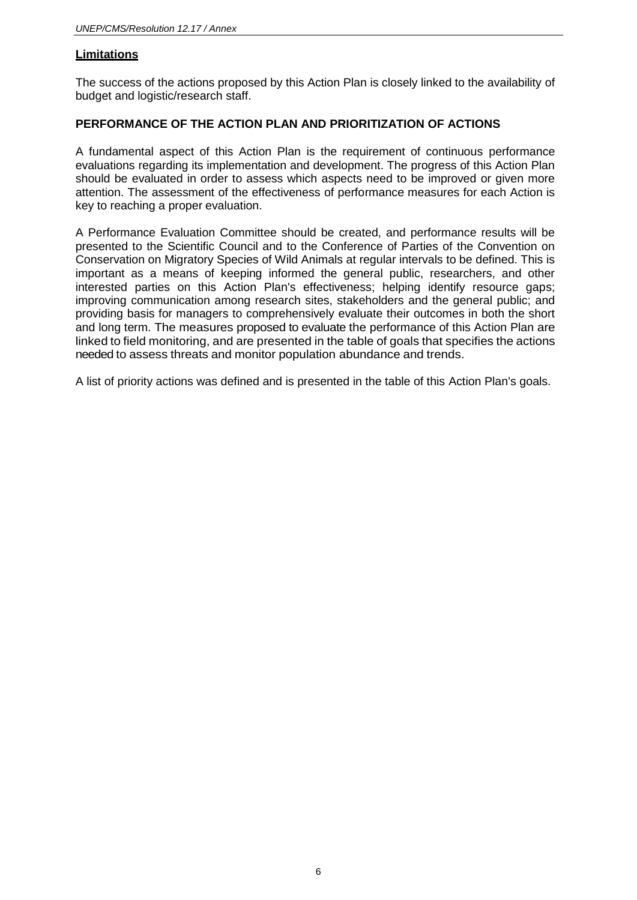# **Limitations**

The success of the actions proposed by this Action Plan is closely linked to the availability of budget and logistic/research staff.

# **PERFORMANCE OF THE ACTION PLAN AND PRIORITIZATION OF ACTIONS**

A fundamental aspect of this Action Plan is the requirement of continuous performance evaluations regarding its implementation and development. The progress of this Action Plan should be evaluated in order to assess which aspects need to be improved or given more attention. The assessment of the effectiveness of performance measures for each Action is key to reaching a proper evaluation.

A Performance Evaluation Committee should be created, and performance results will be presented to the Scientific Council and to the Conference of Parties of the Convention on Conservation on Migratory Species of Wild Animals at regular intervals to be defined. This is important as a means of keeping informed the general public, researchers, and other interested parties on this Action Plan's effectiveness; helping identify resource gaps; improving communication among research sites, stakeholders and the general public; and providing basis for managers to comprehensively evaluate their outcomes in both the short and long term. The measures proposed to evaluate the performance of this Action Plan are linked to field monitoring, and are presented in the table of goals that specifies the actions needed to assess threats and monitor population abundance and trends.

A list of priority actions was defined and is presented in the table of this Action Plan's goals.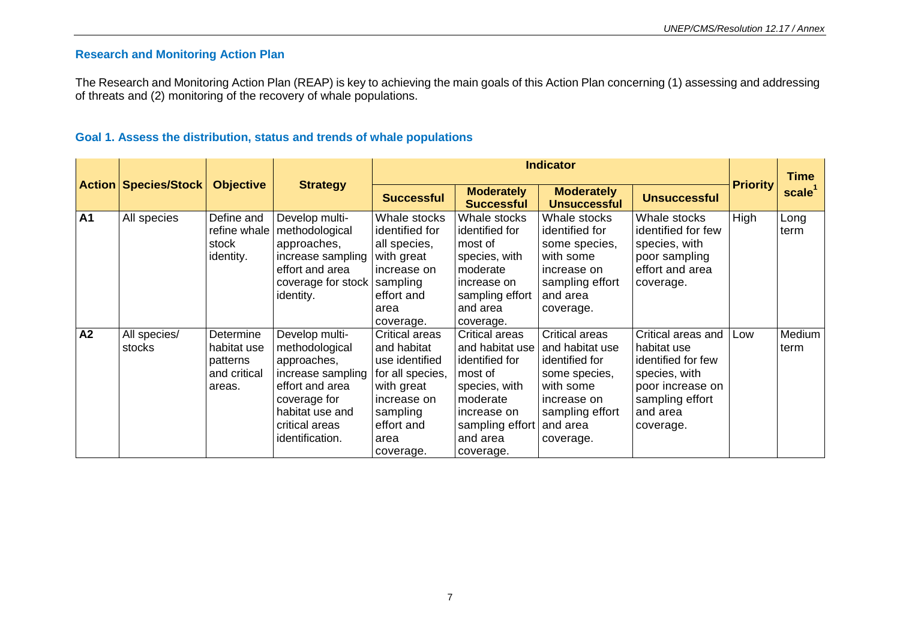## **Research and Monitoring Action Plan**

The Research and Monitoring Action Plan (REAP) is key to achieving the main goals of this Action Plan concerning (1) assessing and addressing of threats and (2) monitoring of the recovery of whale populations.

## **Goal 1. Assess the distribution, status and trends of whale populations**

|           |                             |                                                                |                                                                                                                                                                 |                                                                                                                                                        |                                                                                                                                                        | <b>Indicator</b>                                                                                                                             |                                                                                                                                          |                 | <b>Time</b>        |
|-----------|-----------------------------|----------------------------------------------------------------|-----------------------------------------------------------------------------------------------------------------------------------------------------------------|--------------------------------------------------------------------------------------------------------------------------------------------------------|--------------------------------------------------------------------------------------------------------------------------------------------------------|----------------------------------------------------------------------------------------------------------------------------------------------|------------------------------------------------------------------------------------------------------------------------------------------|-----------------|--------------------|
|           | <b>Action Species/Stock</b> | <b>Objective</b>                                               | <b>Strategy</b>                                                                                                                                                 | <b>Successful</b>                                                                                                                                      | <b>Moderately</b><br><b>Successful</b>                                                                                                                 | <b>Moderately</b><br><b>Unsuccessful</b>                                                                                                     | <b>Unsuccessful</b>                                                                                                                      | <b>Priority</b> | scale <sup>1</sup> |
| <b>A1</b> | All species                 | Define and<br>refine whale<br>stock<br>identity.               | Develop multi-<br>methodological<br>approaches,<br>increase sampling<br>effort and area<br>coverage for stock<br>identity.                                      | Whale stocks<br>identified for<br>all species,<br>with great<br>increase on<br>sampling<br>effort and<br>area<br>coverage.                             | Whale stocks<br>identified for<br>most of<br>species, with<br>moderate<br>increase on<br>sampling effort<br>and area<br>coverage.                      | Whale stocks<br>identified for<br>some species,<br>with some<br>increase on<br>sampling effort<br>and area<br>coverage.                      | Whale stocks<br>identified for few<br>species, with<br>poor sampling<br>effort and area<br>coverage.                                     | High            | Long<br>term       |
| A2        | All species/<br>stocks      | Determine<br>habitat use<br>patterns<br>and critical<br>areas. | Develop multi-<br>methodological<br>approaches,<br>increase sampling<br>effort and area<br>coverage for<br>habitat use and<br>critical areas<br>identification. | <b>Critical areas</b><br>and habitat<br>use identified<br>for all species,<br>with great<br>increase on<br>sampling<br>effort and<br>area<br>coverage. | Critical areas<br>and habitat use<br>identified for<br>most of<br>species, with<br>moderate<br>increase on<br>sampling effort<br>and area<br>coverage. | Critical areas<br>and habitat use<br>identified for<br>some species,<br>with some<br>increase on<br>sampling effort<br>and area<br>coverage. | Critical areas and<br>habitat use<br>identified for few<br>species, with<br>poor increase on<br>sampling effort<br>and area<br>coverage. | Low             | Medium<br>term     |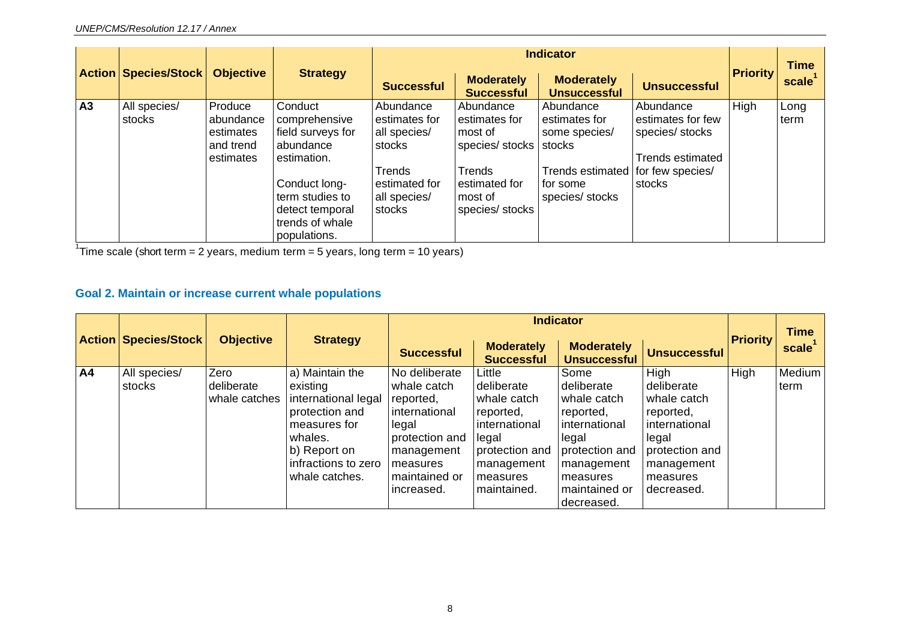|    |                             |                                                             |                                                                                                                                                                     | <b>Indicator</b>                                                                                          |                                                                                                                 |                                                                                                                            |                                                                                        |                 | <b>Time</b>        |
|----|-----------------------------|-------------------------------------------------------------|---------------------------------------------------------------------------------------------------------------------------------------------------------------------|-----------------------------------------------------------------------------------------------------------|-----------------------------------------------------------------------------------------------------------------|----------------------------------------------------------------------------------------------------------------------------|----------------------------------------------------------------------------------------|-----------------|--------------------|
|    | <b>Action Species/Stock</b> | <b>Objective</b>                                            | <b>Strategy</b>                                                                                                                                                     | <b>Successful</b>                                                                                         | <b>Moderately</b><br><b>Successful</b>                                                                          | <b>Moderately</b><br><b>Unsuccessful</b>                                                                                   | <b>Unsuccessful</b>                                                                    | <b>Priority</b> | scale <sup>1</sup> |
| A3 | All species/<br>stocks      | Produce<br>abundance<br>estimates<br>and trend<br>estimates | Conduct<br>comprehensive<br>field surveys for<br>abundance<br>estimation.<br>Conduct long-<br>term studies to<br>detect temporal<br>trends of whale<br>populations. | Abundance<br>estimates for<br>all species/<br>stocks<br>Trends<br>estimated for<br>all species/<br>stocks | Abundance<br>estimates for<br>most of<br>species/stocks<br>Trends<br>estimated for<br>most of<br>species/stocks | Abundance<br>estimates for<br>some species/<br>stocks<br>Trends estimated   for few species/<br>for some<br>species/stocks | Abundance<br>estimates for few<br>species/ stocks<br><b>Trends estimated</b><br>stocks | High            | Long<br>term       |

<sup>1</sup>Time scale (short term = 2 years, medium term = 5 years, long term = 10 years)

# **Goal 2. Maintain or increase current whale populations**

|                | <b>Action Species/Stock</b> | <b>Objective</b>                    | <b>Strategy</b>                                                                                                                                          |                                                                                                                                                |                                                                                                                                       |                                                                                                                                                     | <b>Time</b>                                                                                                                          |                 |                |
|----------------|-----------------------------|-------------------------------------|----------------------------------------------------------------------------------------------------------------------------------------------------------|------------------------------------------------------------------------------------------------------------------------------------------------|---------------------------------------------------------------------------------------------------------------------------------------|-----------------------------------------------------------------------------------------------------------------------------------------------------|--------------------------------------------------------------------------------------------------------------------------------------|-----------------|----------------|
|                |                             |                                     |                                                                                                                                                          | <b>Successful</b>                                                                                                                              | <b>Moderately</b><br><b>Successful</b>                                                                                                | <b>Moderately</b><br><b>Unsuccessful</b>                                                                                                            | <b>Unsuccessful</b>                                                                                                                  | <b>Priority</b> | scale          |
| A <sub>4</sub> | All species/<br>stocks      | Zero<br>deliberate<br>whale catches | a) Maintain the<br>existing<br>international legal<br>protection and<br>measures for<br>whales.<br>b) Report on<br>infractions to zero<br>whale catches. | No deliberate<br>whale catch<br>reported.<br>international<br>legal<br>protection and<br>management<br>measures<br>maintained or<br>increased. | Little<br>deliberate<br>whale catch<br>reported,<br>international<br>legal<br>protection and<br>management<br>measures<br>maintained. | Some<br>deliberate<br>whale catch<br>reported,<br>international<br>legal<br>protection and<br>management<br>measures<br>maintained or<br>decreased. | High<br>  deliberate<br>whale catch<br>reported,<br>international<br>legal<br>protection and<br>management<br>measures<br>decreased. | High            | Medium<br>term |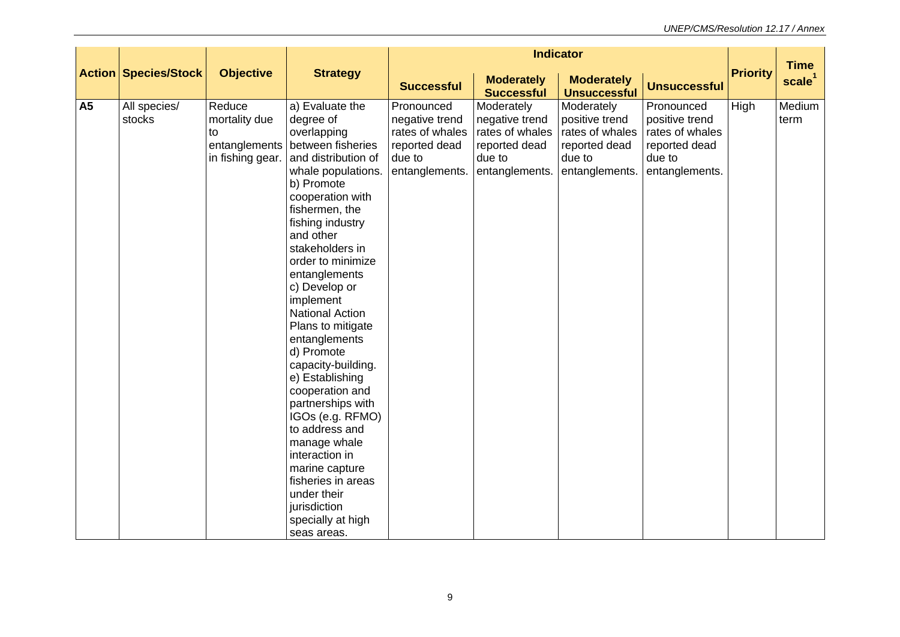|           | <b>Action Species/Stock</b><br><b>Objective</b><br><b>Strategy</b> |                                                                    |                                                                                                                                                                                                                                                                                                                                                                                                                                                                                                                                                                                                                                             | <b>Indicator</b>                                                                             |                                                                                              |                                                                                              | <b>Time</b>                                                                                  |                 |                    |
|-----------|--------------------------------------------------------------------|--------------------------------------------------------------------|---------------------------------------------------------------------------------------------------------------------------------------------------------------------------------------------------------------------------------------------------------------------------------------------------------------------------------------------------------------------------------------------------------------------------------------------------------------------------------------------------------------------------------------------------------------------------------------------------------------------------------------------|----------------------------------------------------------------------------------------------|----------------------------------------------------------------------------------------------|----------------------------------------------------------------------------------------------|----------------------------------------------------------------------------------------------|-----------------|--------------------|
|           |                                                                    |                                                                    |                                                                                                                                                                                                                                                                                                                                                                                                                                                                                                                                                                                                                                             | <b>Successful</b>                                                                            | <b>Moderately</b><br><b>Successful</b>                                                       | <b>Moderately</b><br><b>Unsuccessful</b>                                                     | <b>Unsuccessful</b>                                                                          | <b>Priority</b> | scale <sup>1</sup> |
| <b>A5</b> | All species/<br>stocks                                             | Reduce<br>mortality due<br>to<br>entanglements<br>in fishing gear. | a) Evaluate the<br>degree of<br>overlapping<br>between fisheries<br>and distribution of<br>whale populations.<br>b) Promote<br>cooperation with<br>fishermen, the<br>fishing industry<br>and other<br>stakeholders in<br>order to minimize<br>entanglements<br>c) Develop or<br>implement<br><b>National Action</b><br>Plans to mitigate<br>entanglements<br>d) Promote<br>capacity-building.<br>e) Establishing<br>cooperation and<br>partnerships with<br>IGOs (e.g. RFMO)<br>to address and<br>manage whale<br>interaction in<br>marine capture<br>fisheries in areas<br>under their<br>jurisdiction<br>specially at high<br>seas areas. | Pronounced<br>negative trend<br>rates of whales<br>reported dead<br>due to<br>entanglements. | Moderately<br>negative trend<br>rates of whales<br>reported dead<br>due to<br>entanglements. | Moderately<br>positive trend<br>rates of whales<br>reported dead<br>due to<br>entanglements. | Pronounced<br>positive trend<br>rates of whales<br>reported dead<br>due to<br>entanglements. | High            | Medium<br>term     |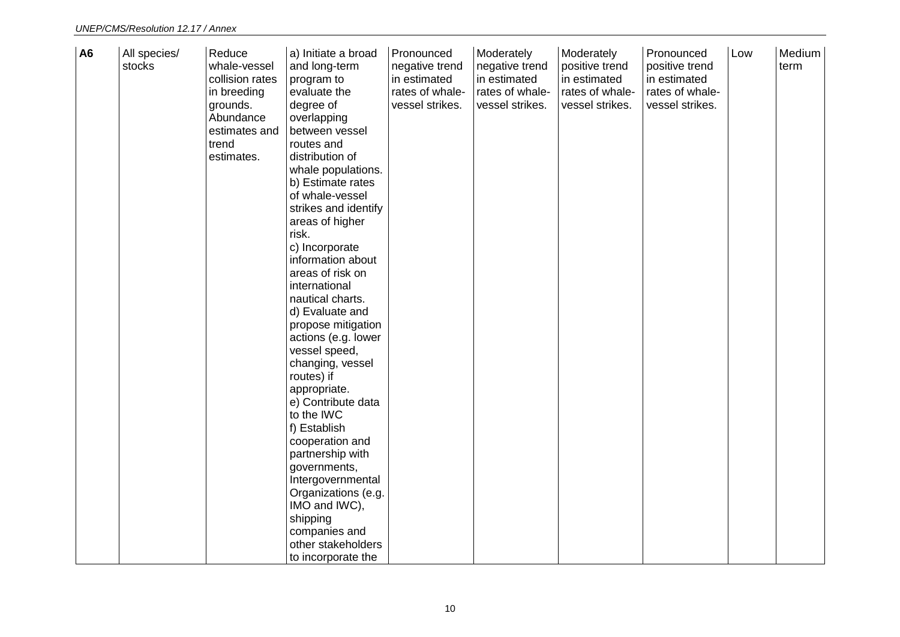| <b>A6</b> | All species/<br>stocks | Reduce<br>whale-vessel<br>collision rates<br>in breeding<br>grounds.<br>Abundance<br>estimates and<br>trend<br>estimates. | a) Initiate a broad<br>and long-term<br>program to<br>evaluate the<br>degree of<br>overlapping<br>between vessel<br>routes and<br>distribution of<br>whale populations.<br>b) Estimate rates<br>of whale-vessel<br>strikes and identify<br>areas of higher<br>risk.<br>c) Incorporate<br>information about<br>areas of risk on<br>international<br>nautical charts.<br>d) Evaluate and<br>propose mitigation<br>actions (e.g. lower<br>vessel speed,<br>changing, vessel<br>routes) if<br>appropriate.<br>e) Contribute data<br>to the IWC<br>f) Establish<br>cooperation and<br>partnership with<br>governments,<br>Intergovernmental<br>Organizations (e.g.<br>IMO and IWC),<br>shipping<br>companies and<br>other stakeholders | Pronounced<br>negative trend<br>in estimated<br>rates of whale-<br>vessel strikes. | Moderately<br>negative trend<br>in estimated<br>rates of whale-<br>vessel strikes. | Moderately<br>positive trend<br>in estimated<br>rates of whale-<br>vessel strikes. | Pronounced<br>positive trend<br>in estimated<br>rates of whale-<br>vessel strikes. | Low | Medium<br>term |
|-----------|------------------------|---------------------------------------------------------------------------------------------------------------------------|-----------------------------------------------------------------------------------------------------------------------------------------------------------------------------------------------------------------------------------------------------------------------------------------------------------------------------------------------------------------------------------------------------------------------------------------------------------------------------------------------------------------------------------------------------------------------------------------------------------------------------------------------------------------------------------------------------------------------------------|------------------------------------------------------------------------------------|------------------------------------------------------------------------------------|------------------------------------------------------------------------------------|------------------------------------------------------------------------------------|-----|----------------|
|           |                        |                                                                                                                           | to incorporate the                                                                                                                                                                                                                                                                                                                                                                                                                                                                                                                                                                                                                                                                                                                |                                                                                    |                                                                                    |                                                                                    |                                                                                    |     |                |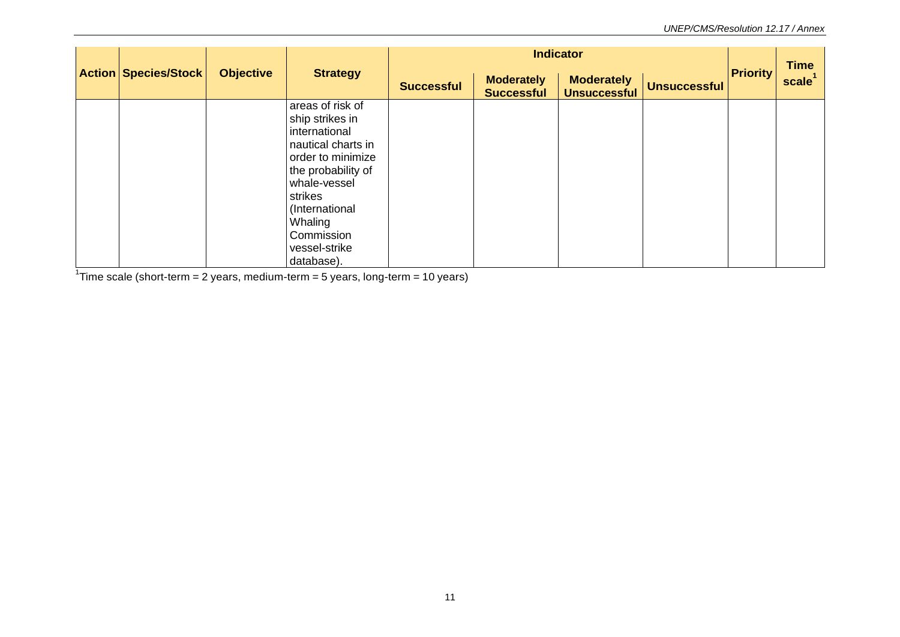| <b>Action Species/Stock</b> | <b>Objective</b> | <b>Strategy</b>                                                                                                                                                                                                            |                   |                                        | <b>Indicator</b>                         |                     | <b>Priority</b> | <b>Time</b><br>scale <sup>'</sup> |
|-----------------------------|------------------|----------------------------------------------------------------------------------------------------------------------------------------------------------------------------------------------------------------------------|-------------------|----------------------------------------|------------------------------------------|---------------------|-----------------|-----------------------------------|
|                             |                  |                                                                                                                                                                                                                            | <b>Successful</b> | <b>Moderately</b><br><b>Successful</b> | <b>Moderately</b><br><b>Unsuccessful</b> | <b>Unsuccessful</b> |                 |                                   |
|                             |                  | areas of risk of<br>ship strikes in<br>international<br>nautical charts in<br>order to minimize<br>the probability of<br>whale-vessel<br>strikes<br>(International<br>Whaling<br>Commission<br>vessel-strike<br>database). |                   |                                        |                                          |                     |                 |                                   |

<sup>1</sup>Time scale (short-term = 2 years, medium-term = 5 years, long-term = 10 years)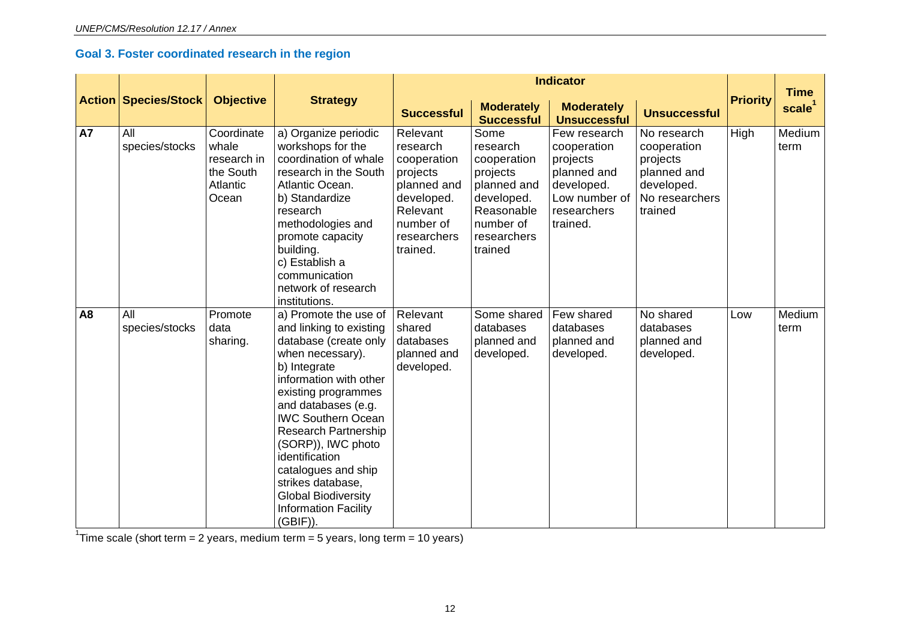# **Goal 3. Foster coordinated research in the region**

|           |                             |                                                                      |                                                                                                                                                                                                                                                                                                                                                                                                            | <b>Indicator</b>                                                                                                                 |                                                                                                                               |                                                                                                                  |                                                                                                  |                 | <b>Time</b>        |
|-----------|-----------------------------|----------------------------------------------------------------------|------------------------------------------------------------------------------------------------------------------------------------------------------------------------------------------------------------------------------------------------------------------------------------------------------------------------------------------------------------------------------------------------------------|----------------------------------------------------------------------------------------------------------------------------------|-------------------------------------------------------------------------------------------------------------------------------|------------------------------------------------------------------------------------------------------------------|--------------------------------------------------------------------------------------------------|-----------------|--------------------|
|           | <b>Action Species/Stock</b> | <b>Objective</b>                                                     | <b>Strategy</b>                                                                                                                                                                                                                                                                                                                                                                                            | <b>Successful</b>                                                                                                                | <b>Moderately</b><br><b>Successful</b>                                                                                        | <b>Moderately</b><br><b>Unsuccessful</b>                                                                         | <b>Unsuccessful</b>                                                                              | <b>Priority</b> | scale <sup>1</sup> |
| <b>A7</b> | All<br>species/stocks       | Coordinate<br>whale<br>research in<br>the South<br>Atlantic<br>Ocean | a) Organize periodic<br>workshops for the<br>coordination of whale<br>research in the South<br>Atlantic Ocean.<br>b) Standardize<br>research<br>methodologies and<br>promote capacity<br>building.<br>c) Establish a<br>communication<br>network of research<br>institutions.                                                                                                                              | Relevant<br>research<br>cooperation<br>projects<br>planned and<br>developed.<br>Relevant<br>number of<br>researchers<br>trained. | Some<br>research<br>cooperation<br>projects<br>planned and<br>developed.<br>Reasonable<br>number of<br>researchers<br>trained | Few research<br>cooperation<br>projects<br>planned and<br>developed.<br>Low number of<br>researchers<br>trained. | No research<br>cooperation<br>projects<br>planned and<br>developed.<br>No researchers<br>trained | High            | Medium<br>term     |
| <b>A8</b> | All<br>species/stocks       | Promote<br>data<br>sharing.                                          | a) Promote the use of<br>and linking to existing<br>database (create only<br>when necessary).<br>b) Integrate<br>information with other<br>existing programmes<br>and databases (e.g.<br><b>IWC Southern Ocean</b><br>Research Partnership<br>(SORP)), IWC photo<br>identification<br>catalogues and ship<br>strikes database.<br><b>Global Biodiversity</b><br><b>Information Facility</b><br>$(GBIF)$ ). | Relevant<br>shared<br>databases<br>planned and<br>developed.                                                                     | Some shared<br>databases<br>planned and<br>developed.                                                                         | Few shared<br>databases<br>planned and<br>developed.                                                             | No shared<br>databases<br>planned and<br>developed.                                              | Low             | Medium<br>term     |

<sup>1</sup>Time scale (short term = 2 years, medium term = 5 years, long term = 10 years)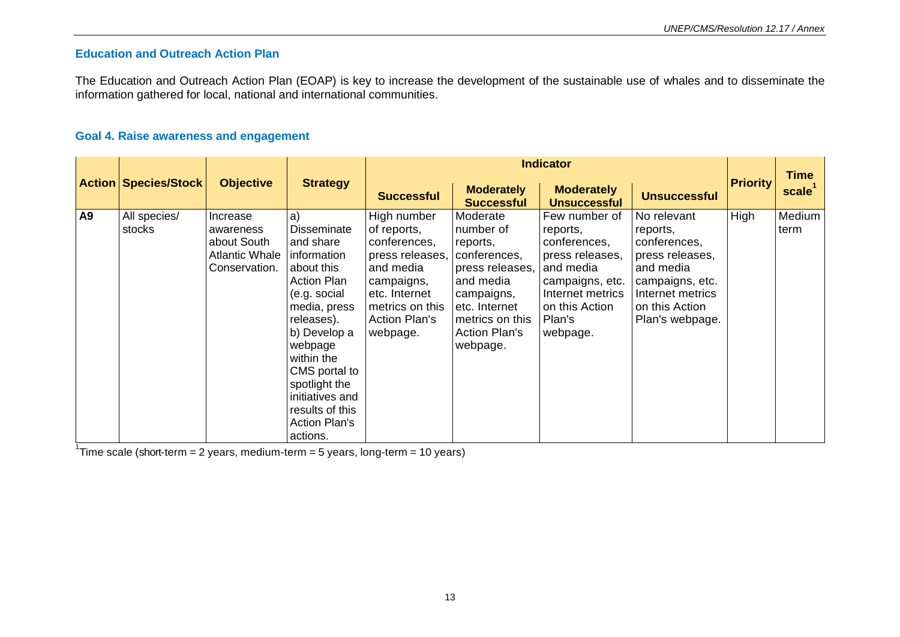# **Education and Outreach Action Plan**

The Education and Outreach Action Plan (EOAP) is key to increase the development of the sustainable use of whales and to disseminate the information gathered for local, national and international communities.

### **Goal 4. Raise awareness and engagement**

|           |                             |                                                                                |                                                                                                                                                                                                                                                                                             |                                                                                                                                                                  |                                                                                                                                                                         | <b>Indicator</b>                                                                                                                                         |                                                                                                                                                     |                 | <b>Time</b>        |
|-----------|-----------------------------|--------------------------------------------------------------------------------|---------------------------------------------------------------------------------------------------------------------------------------------------------------------------------------------------------------------------------------------------------------------------------------------|------------------------------------------------------------------------------------------------------------------------------------------------------------------|-------------------------------------------------------------------------------------------------------------------------------------------------------------------------|----------------------------------------------------------------------------------------------------------------------------------------------------------|-----------------------------------------------------------------------------------------------------------------------------------------------------|-----------------|--------------------|
|           | <b>Action Species/Stock</b> | <b>Objective</b>                                                               | <b>Strategy</b>                                                                                                                                                                                                                                                                             | <b>Successful</b>                                                                                                                                                | <b>Moderately</b><br><b>Successful</b>                                                                                                                                  | <b>Moderately</b><br><b>Unsuccessful</b>                                                                                                                 | <b>Unsuccessful</b>                                                                                                                                 | <b>Priority</b> | scale <sup>1</sup> |
| <b>A9</b> | All species/<br>stocks      | Increase<br>awareness<br>about South<br><b>Atlantic Whale</b><br>Conservation. | a)<br><b>Disseminate</b><br>and share<br>information<br>about this<br><b>Action Plan</b><br>(e.g. social<br>media, press<br>releases).<br>b) Develop a<br>webpage<br>within the<br>CMS portal to<br>spotlight the<br>initiatives and<br>results of this<br><b>Action Plan's</b><br>actions. | High number<br>of reports,<br>conferences,<br>press releases,<br>and media<br>campaigns,<br>etc. Internet<br>metrics on this<br><b>Action Plan's</b><br>webpage. | Moderate<br>number of<br>reports,<br>conferences,<br>press releases,<br>and media<br>campaigns,<br>etc. Internet<br>metrics on this<br><b>Action Plan's</b><br>webpage. | Few number of<br>reports,<br>conferences,<br>press releases,<br>and media<br>campaigns, etc.<br>Internet metrics<br>on this Action<br>Plan's<br>webpage. | No relevant<br>reports,<br>conferences,<br>press releases,<br>and media<br>campaigns, etc.<br>Internet metrics<br>on this Action<br>Plan's webpage. | High            | Medium<br>term     |

<sup>1</sup>Time scale (short-term = 2 years, medium-term = 5 years, long-term = 10 years)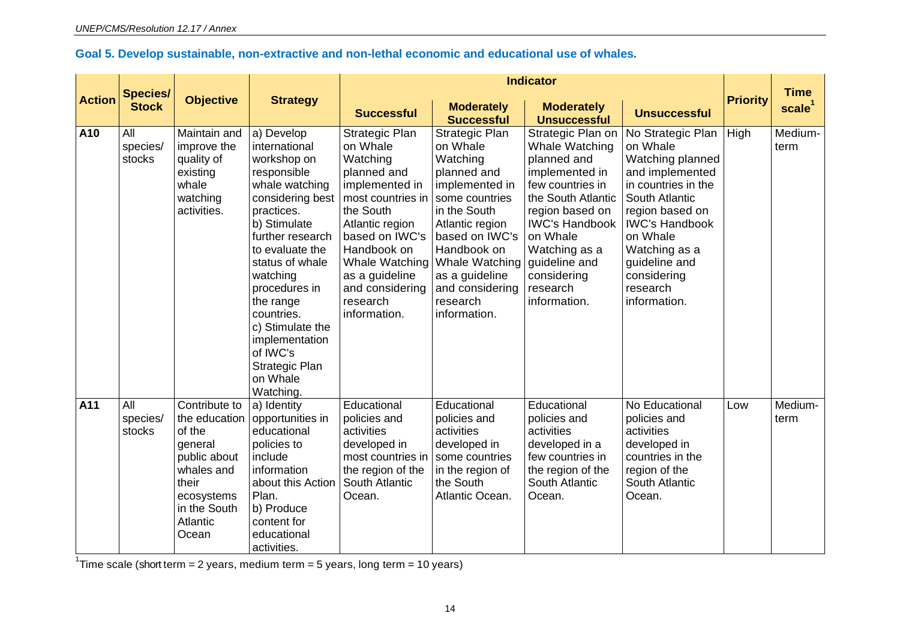# **Goal 5. Develop sustainable, non-extractive and non-lethal economic and educational use of whales.**

|               |                                 |                                                                                                                                               |                                                                                                                                                                                                                                                                                                                                              |                                                                                                                                                                                                                                                  |                                                                                                                                                                                                                                                  | <b>Indicator</b>                                                                                                                                                                                                                                    |                                                                                                                                                                                                                                                    |                 |                                   |
|---------------|---------------------------------|-----------------------------------------------------------------------------------------------------------------------------------------------|----------------------------------------------------------------------------------------------------------------------------------------------------------------------------------------------------------------------------------------------------------------------------------------------------------------------------------------------|--------------------------------------------------------------------------------------------------------------------------------------------------------------------------------------------------------------------------------------------------|--------------------------------------------------------------------------------------------------------------------------------------------------------------------------------------------------------------------------------------------------|-----------------------------------------------------------------------------------------------------------------------------------------------------------------------------------------------------------------------------------------------------|----------------------------------------------------------------------------------------------------------------------------------------------------------------------------------------------------------------------------------------------------|-----------------|-----------------------------------|
| <b>Action</b> | <b>Species/</b><br><b>Stock</b> | <b>Objective</b>                                                                                                                              | <b>Strategy</b>                                                                                                                                                                                                                                                                                                                              | <b>Successful</b>                                                                                                                                                                                                                                | <b>Moderately</b><br><b>Successful</b>                                                                                                                                                                                                           | <b>Moderately</b><br><b>Unsuccessful</b>                                                                                                                                                                                                            | <b>Unsuccessful</b>                                                                                                                                                                                                                                | <b>Priority</b> | <b>Time</b><br>scale <sup>1</sup> |
| A10           | All<br>species/<br>stocks       | Maintain and<br>improve the<br>quality of<br>existing<br>whale<br>watching<br>activities.                                                     | a) Develop<br>international<br>workshop on<br>responsible<br>whale watching<br>considering best<br>practices.<br>b) Stimulate<br>further research<br>to evaluate the<br>status of whale<br>watching<br>procedures in<br>the range<br>countries.<br>c) Stimulate the<br>implementation<br>of IWC's<br>Strategic Plan<br>on Whale<br>Watching. | Strategic Plan<br>on Whale<br>Watching<br>planned and<br>implemented in<br>most countries in<br>the South<br>Atlantic region<br>based on IWC's<br>Handbook on<br>Whale Watching<br>as a guideline<br>and considering<br>research<br>information. | Strategic Plan<br>on Whale<br>Watching<br>planned and<br>implemented in<br>some countries<br>in the South<br>Atlantic region<br>based on IWC's<br>Handbook on<br>Whale Watching<br>as a guideline<br>and considering<br>research<br>information. | Strategic Plan on<br>Whale Watching<br>planned and<br>implemented in<br>few countries in<br>the South Atlantic<br>region based on<br><b>IWC's Handbook</b><br>on Whale<br>Watching as a<br>guideline and<br>considering<br>research<br>information. | No Strategic Plan<br>on Whale<br>Watching planned<br>and implemented<br>in countries in the<br>South Atlantic<br>region based on<br><b>IWC's Handbook</b><br>on Whale<br>Watching as a<br>guideline and<br>considering<br>research<br>information. | High            | Medium-<br>term                   |
| A11           | All<br>species/<br>stocks       | Contribute to<br>the education<br>of the<br>general<br>public about<br>whales and<br>their<br>ecosystems<br>in the South<br>Atlantic<br>Ocean | a) Identity<br>opportunities in<br>educational<br>policies to<br>include<br>information<br>about this Action<br>Plan.<br>b) Produce<br>content for<br>educational<br>activities.                                                                                                                                                             | Educational<br>policies and<br>activities<br>developed in<br>most countries in<br>the region of the<br>South Atlantic<br>Ocean.                                                                                                                  | Educational<br>policies and<br>activities<br>developed in<br>some countries<br>in the region of<br>the South<br>Atlantic Ocean.                                                                                                                  | Educational<br>policies and<br>activities<br>developed in a<br>few countries in<br>the region of the<br>South Atlantic<br>Ocean.                                                                                                                    | No Educational<br>policies and<br>activities<br>developed in<br>countries in the<br>region of the<br>South Atlantic<br>Ocean.                                                                                                                      | Low             | Medium-<br>term                   |

<sup>1</sup>Time scale (short term = 2 years, medium term = 5 years, long term = 10 years)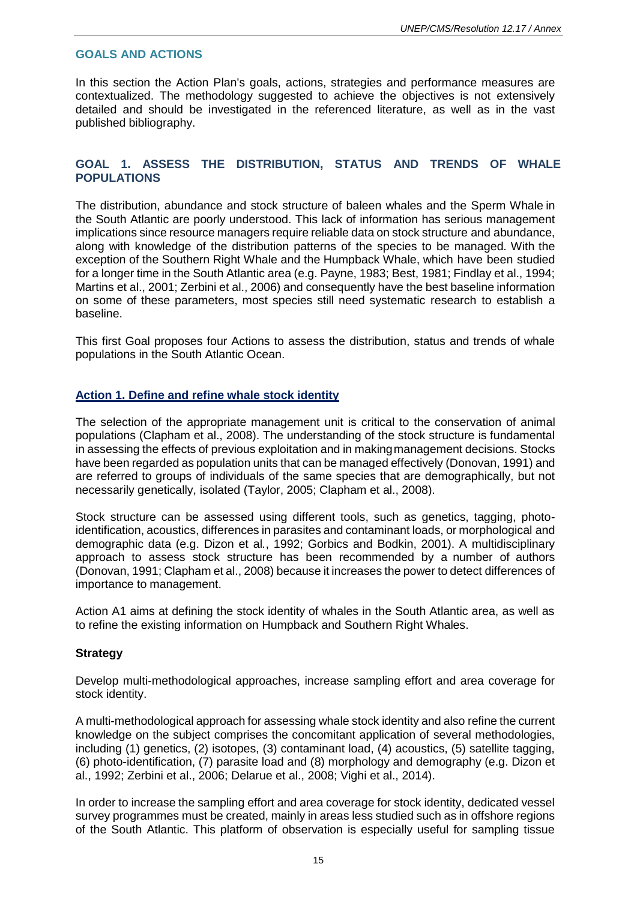### **GOALS AND ACTIONS**

In this section the Action Plan's goals, actions, strategies and performance measures are contextualized. The methodology suggested to achieve the objectives is not extensively detailed and should be investigated in the referenced literature, as well as in the vast published bibliography.

## **GOAL 1. ASSESS THE DISTRIBUTION, STATUS AND TRENDS OF WHALE POPULATIONS**

The distribution, abundance and stock structure of baleen whales and the Sperm Whale in the South Atlantic are poorly understood. This lack of information has serious management implications since resource managers require reliable data on stock structure and abundance, along with knowledge of the distribution patterns of the species to be managed. With the exception of the Southern Right Whale and the Humpback Whale, which have been studied for a longer time in the South Atlantic area (e.g. Payne, 1983; Best, 1981; Findlay et al., 1994; Martins et al., 2001; Zerbini et al., 2006) and consequently have the best baseline information on some of these parameters, most species still need systematic research to establish a baseline.

This first Goal proposes four Actions to assess the distribution, status and trends of whale populations in the South Atlantic Ocean.

## **Action 1. Define and refine whale stock identity**

The selection of the appropriate management unit is critical to the conservation of animal populations (Clapham et al., 2008). The understanding of the stock structure is fundamental in assessing the effects of previous exploitation and in makingmanagement decisions. Stocks have been regarded as population units that can be managed effectively (Donovan, 1991) and are referred to groups of individuals of the same species that are demographically, but not necessarily genetically, isolated (Taylor, 2005; Clapham et al., 2008).

Stock structure can be assessed using different tools, such as genetics, tagging, photoidentification, acoustics, differences in parasites and contaminant loads, or morphological and demographic data (e.g. Dizon et al*.*, 1992; Gorbics and Bodkin, 2001). A multidisciplinary approach to assess stock structure has been recommended by a number of authors (Donovan, 1991; Clapham et al., 2008) because it increases the power to detect differences of importance to management.

Action A1 aims at defining the stock identity of whales in the South Atlantic area, as well as to refine the existing information on Humpback and Southern Right Whales.

#### **Strategy**

Develop multi-methodological approaches, increase sampling effort and area coverage for stock identity.

A multi-methodological approach for assessing whale stock identity and also refine the current knowledge on the subject comprises the concomitant application of several methodologies, including (1) genetics, (2) isotopes, (3) contaminant load, (4) acoustics, (5) satellite tagging, (6) photo-identification, (7) parasite load and (8) morphology and demography (e.g. Dizon et al., 1992; Zerbini et al., 2006; Delarue et al., 2008; Vighi et al., 2014).

In order to increase the sampling effort and area coverage for stock identity, dedicated vessel survey programmes must be created, mainly in areas less studied such as in offshore regions of the South Atlantic. This platform of observation is especially useful for sampling tissue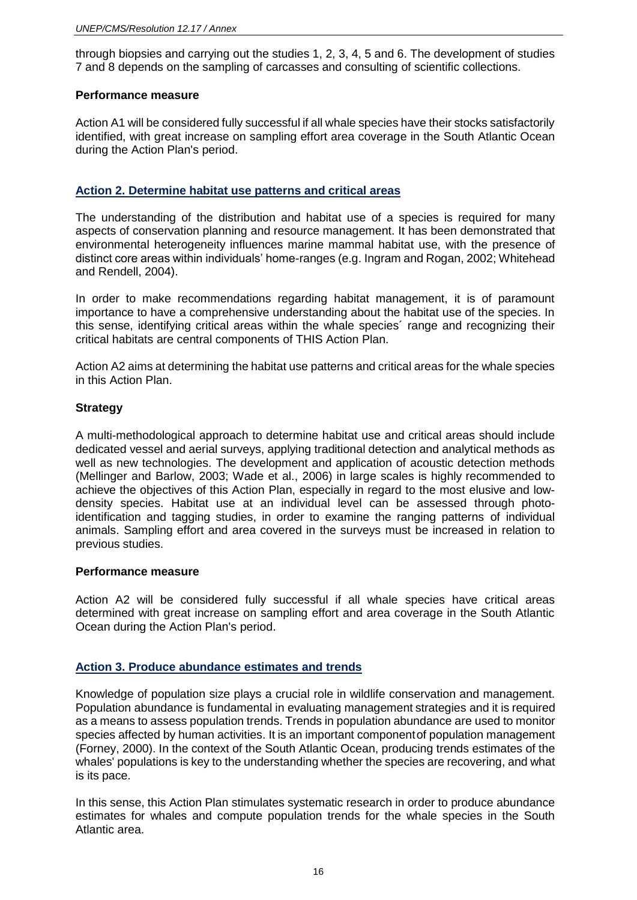through biopsies and carrying out the studies 1, 2, 3, 4, 5 and 6. The development of studies 7 and 8 depends on the sampling of carcasses and consulting of scientific collections.

#### **Performance measure**

Action A1 will be considered fully successful if all whale species have their stocks satisfactorily identified, with great increase on sampling effort area coverage in the South Atlantic Ocean during the Action Plan's period.

## **Action 2. Determine habitat use patterns and critical areas**

The understanding of the distribution and habitat use of a species is required for many aspects of conservation planning and resource management. It has been demonstrated that environmental heterogeneity influences marine mammal habitat use, with the presence of distinct core areas within individuals' home-ranges (e.g. Ingram and Rogan, 2002; Whitehead and Rendell, 2004).

In order to make recommendations regarding habitat management, it is of paramount importance to have a comprehensive understanding about the habitat use of the species. In this sense, identifying critical areas within the whale species´ range and recognizing their critical habitats are central components of THIS Action Plan.

Action A2 aims at determining the habitat use patterns and critical areas for the whale species in this Action Plan.

## **Strategy**

A multi-methodological approach to determine habitat use and critical areas should include dedicated vessel and aerial surveys, applying traditional detection and analytical methods as well as new technologies. The development and application of acoustic detection methods (Mellinger and Barlow, 2003; Wade et al., 2006) in large scales is highly recommended to achieve the objectives of this Action Plan, especially in regard to the most elusive and lowdensity species. Habitat use at an individual level can be assessed through photoidentification and tagging studies, in order to examine the ranging patterns of individual animals. Sampling effort and area covered in the surveys must be increased in relation to previous studies.

## **Performance measure**

Action A2 will be considered fully successful if all whale species have critical areas determined with great increase on sampling effort and area coverage in the South Atlantic Ocean during the Action Plan's period.

## **Action 3. Produce abundance estimates and trends**

Knowledge of population size plays a crucial role in wildlife conservation and management. Population abundance is fundamental in evaluating management strategies and it is required as a means to assess population trends. Trends in population abundance are used to monitor species affected by human activities. It is an important componentof population management (Forney, 2000). In the context of the South Atlantic Ocean, producing trends estimates of the whales' populations is key to the understanding whether the species are recovering, and what is its pace.

In this sense, this Action Plan stimulates systematic research in order to produce abundance estimates for whales and compute population trends for the whale species in the South Atlantic area.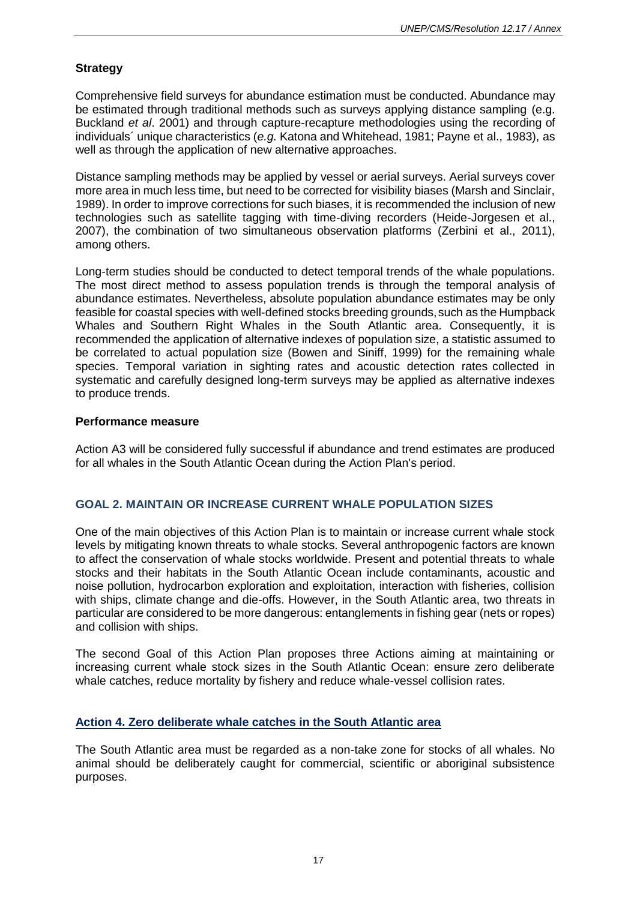# **Strategy**

Comprehensive field surveys for abundance estimation must be conducted. Abundance may be estimated through traditional methods such as surveys applying distance sampling (e.g. Buckland *et al*. 2001) and through capture-recapture methodologies using the recording of individuals´ unique characteristics (*e.g.* Katona and Whitehead, 1981; Payne et al., 1983), as well as through the application of new alternative approaches.

Distance sampling methods may be applied by vessel or aerial surveys. Aerial surveys cover more area in much less time, but need to be corrected for visibility biases (Marsh and Sinclair, 1989). In order to improve corrections for such biases, it is recommended the inclusion of new technologies such as satellite tagging with time-diving recorders (Heide-Jorgesen et al., 2007), the combination of two simultaneous observation platforms (Zerbini et al., 2011), among others.

Long-term studies should be conducted to detect temporal trends of the whale populations. The most direct method to assess population trends is through the temporal analysis of abundance estimates. Nevertheless, absolute population abundance estimates may be only feasible for coastal species with well-defined stocks breeding grounds,such as the Humpback Whales and Southern Right Whales in the South Atlantic area. Consequently, it is recommended the application of alternative indexes of population size, a statistic assumed to be correlated to actual population size (Bowen and Siniff, 1999) for the remaining whale species. Temporal variation in sighting rates and acoustic detection rates collected in systematic and carefully designed long-term surveys may be applied as alternative indexes to produce trends.

#### **Performance measure**

Action A3 will be considered fully successful if abundance and trend estimates are produced for all whales in the South Atlantic Ocean during the Action Plan's period.

## **GOAL 2. MAINTAIN OR INCREASE CURRENT WHALE POPULATION SIZES**

One of the main objectives of this Action Plan is to maintain or increase current whale stock levels by mitigating known threats to whale stocks. Several anthropogenic factors are known to affect the conservation of whale stocks worldwide. Present and potential threats to whale stocks and their habitats in the South Atlantic Ocean include contaminants, acoustic and noise pollution, hydrocarbon exploration and exploitation, interaction with fisheries, collision with ships, climate change and die-offs. However, in the South Atlantic area, two threats in particular are considered to be more dangerous: entanglements in fishing gear (nets or ropes) and collision with ships.

The second Goal of this Action Plan proposes three Actions aiming at maintaining or increasing current whale stock sizes in the South Atlantic Ocean: ensure zero deliberate whale catches, reduce mortality by fishery and reduce whale-vessel collision rates.

## **Action 4. Zero deliberate whale catches in the South Atlantic area**

The South Atlantic area must be regarded as a non-take zone for stocks of all whales. No animal should be deliberately caught for commercial, scientific or aboriginal subsistence purposes.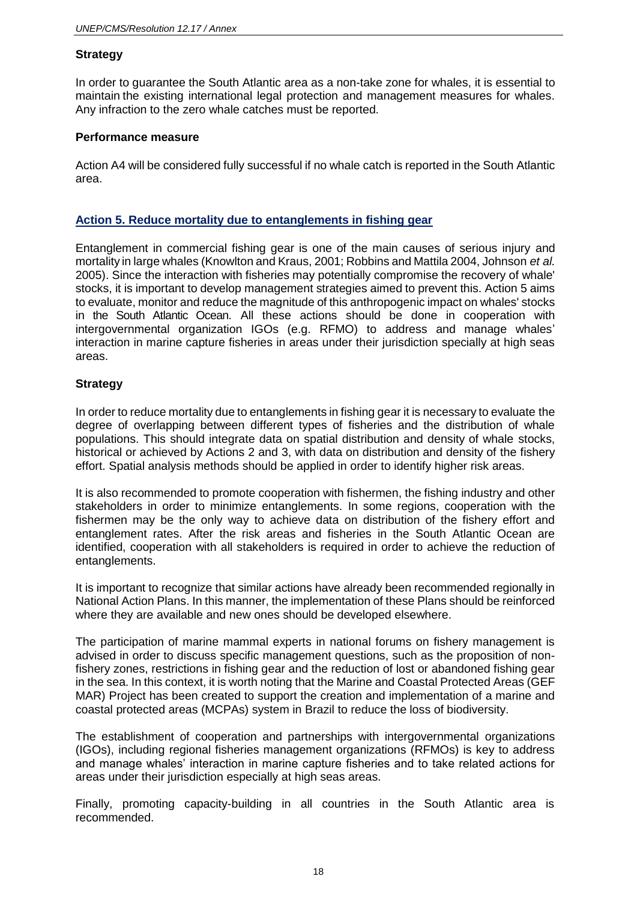## **Strategy**

In order to guarantee the South Atlantic area as a non-take zone for whales, it is essential to maintain the existing international legal protection and management measures for whales. Any infraction to the zero whale catches must be reported.

#### **Performance measure**

Action A4 will be considered fully successful if no whale catch is reported in the South Atlantic area.

### **Action 5. Reduce mortality due to entanglements in fishing gear**

Entanglement in commercial fishing gear is one of the main causes of serious injury and mortality in large whales (Knowlton and Kraus, 2001; Robbins and Mattila 2004, Johnson *et al.*  2005). Since the interaction with fisheries may potentially compromise the recovery of whale' stocks, it is important to develop management strategies aimed to prevent this. Action 5 aims to evaluate, monitor and reduce the magnitude of this anthropogenic impact on whales' stocks in the South Atlantic Ocean. All these actions should be done in cooperation with intergovernmental organization IGOs (e.g. RFMO) to address and manage whales' interaction in marine capture fisheries in areas under their jurisdiction specially at high seas areas.

## **Strategy**

In order to reduce mortality due to entanglements in fishing gear it is necessary to evaluate the degree of overlapping between different types of fisheries and the distribution of whale populations. This should integrate data on spatial distribution and density of whale stocks, historical or achieved by Actions 2 and 3, with data on distribution and density of the fishery effort. Spatial analysis methods should be applied in order to identify higher risk areas.

It is also recommended to promote cooperation with fishermen, the fishing industry and other stakeholders in order to minimize entanglements. In some regions, cooperation with the fishermen may be the only way to achieve data on distribution of the fishery effort and entanglement rates. After the risk areas and fisheries in the South Atlantic Ocean are identified, cooperation with all stakeholders is required in order to achieve the reduction of entanglements.

It is important to recognize that similar actions have already been recommended regionally in National Action Plans. In this manner, the implementation of these Plans should be reinforced where they are available and new ones should be developed elsewhere.

The participation of marine mammal experts in national forums on fishery management is advised in order to discuss specific management questions, such as the proposition of nonfishery zones, restrictions in fishing gear and the reduction of lost or abandoned fishing gear in the sea. In this context, it is worth noting that the Marine and Coastal Protected Areas (GEF MAR) Project has been created to support the creation and implementation of a marine and coastal protected areas (MCPAs) system in Brazil to reduce the loss of biodiversity.

The establishment of cooperation and partnerships with intergovernmental organizations (IGOs), including regional fisheries management organizations (RFMOs) is key to address and manage whales' interaction in marine capture fisheries and to take related actions for areas under their jurisdiction especially at high seas areas.

Finally, promoting capacity-building in all countries in the South Atlantic area is recommended.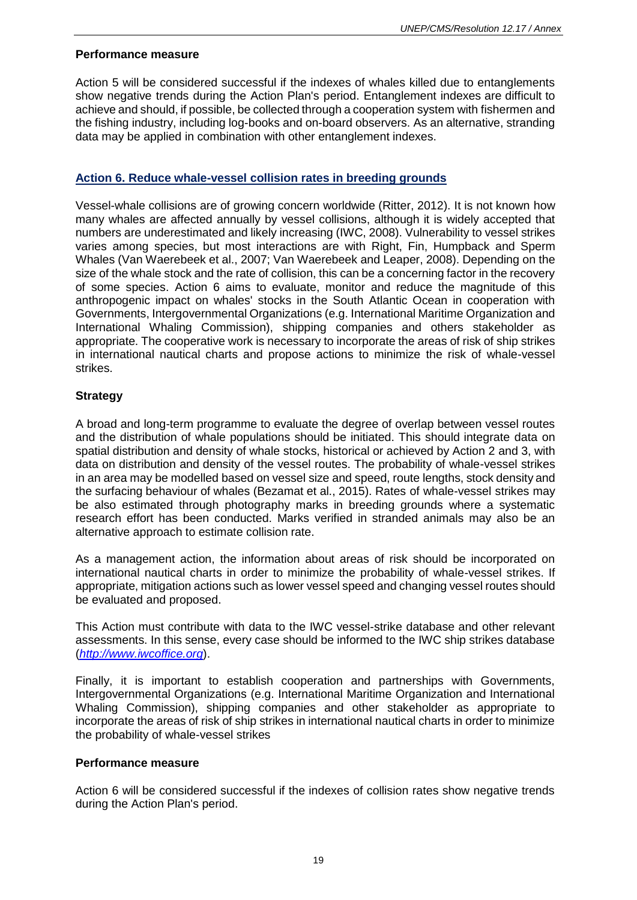#### **Performance measure**

Action 5 will be considered successful if the indexes of whales killed due to entanglements show negative trends during the Action Plan's period. Entanglement indexes are difficult to achieve and should, if possible, be collected through a cooperation system with fishermen and the fishing industry, including log-books and on-board observers. As an alternative, stranding data may be applied in combination with other entanglement indexes.

## **Action 6. Reduce whale-vessel collision rates in breeding grounds**

Vessel-whale collisions are of growing concern worldwide (Ritter, 2012). It is not known how many whales are affected annually by vessel collisions, although it is widely accepted that numbers are underestimated and likely increasing (IWC, 2008). Vulnerability to vessel strikes varies among species, but most interactions are with Right, Fin, Humpback and Sperm Whales (Van Waerebeek et al., 2007; Van Waerebeek and Leaper, 2008). Depending on the size of the whale stock and the rate of collision, this can be a concerning factor in the recovery of some species. Action 6 aims to evaluate, monitor and reduce the magnitude of this anthropogenic impact on whales' stocks in the South Atlantic Ocean in cooperation with Governments, Intergovernmental Organizations (e.g. International Maritime Organization and International Whaling Commission), shipping companies and others stakeholder as appropriate. The cooperative work is necessary to incorporate the areas of risk of ship strikes in international nautical charts and propose actions to minimize the risk of whale-vessel strikes.

# **Strategy**

A broad and long-term programme to evaluate the degree of overlap between vessel routes and the distribution of whale populations should be initiated. This should integrate data on spatial distribution and density of whale stocks, historical or achieved by Action 2 and 3, with data on distribution and density of the vessel routes. The probability of whale-vessel strikes in an area may be modelled based on vessel size and speed, route lengths, stock density and the surfacing behaviour of whales (Bezamat et al., 2015). Rates of whale-vessel strikes may be also estimated through photography marks in breeding grounds where a systematic research effort has been conducted. Marks verified in stranded animals may also be an alternative approach to estimate collision rate.

As a management action, the information about areas of risk should be incorporated on international nautical charts in order to minimize the probability of whale-vessel strikes. If appropriate, mitigation actions such as lower vessel speed and changing vessel routes should be evaluated and proposed.

This Action must contribute with data to the IWC vessel-strike database and other relevant assessments. In this sense, every case should be informed to the IWC ship strikes database (*[http://www.iwcoffice.org](http://www.iwcoffice.org/)*).

Finally, it is important to establish cooperation and partnerships with Governments, Intergovernmental Organizations (e.g. International Maritime Organization and International Whaling Commission), shipping companies and other stakeholder as appropriate to incorporate the areas of risk of ship strikes in international nautical charts in order to minimize the probability of whale-vessel strikes

## **Performance measure**

Action 6 will be considered successful if the indexes of collision rates show negative trends during the Action Plan's period.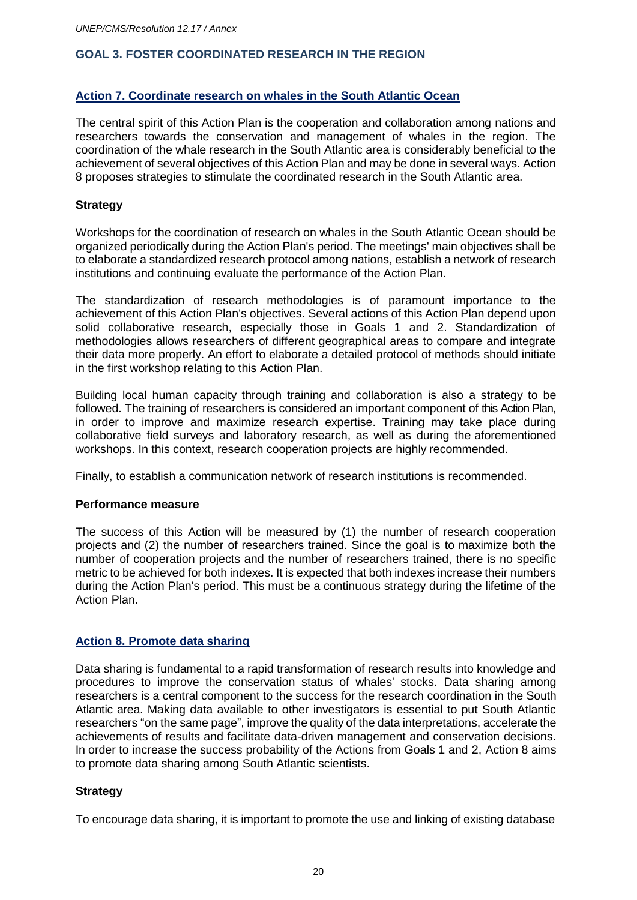# **GOAL 3. FOSTER COORDINATED RESEARCH IN THE REGION**

## **Action 7. Coordinate research on whales in the South Atlantic Ocean**

The central spirit of this Action Plan is the cooperation and collaboration among nations and researchers towards the conservation and management of whales in the region. The coordination of the whale research in the South Atlantic area is considerably beneficial to the achievement of several objectives of this Action Plan and may be done in several ways. Action 8 proposes strategies to stimulate the coordinated research in the South Atlantic area.

### **Strategy**

Workshops for the coordination of research on whales in the South Atlantic Ocean should be organized periodically during the Action Plan's period. The meetings' main objectives shall be to elaborate a standardized research protocol among nations, establish a network of research institutions and continuing evaluate the performance of the Action Plan.

The standardization of research methodologies is of paramount importance to the achievement of this Action Plan's objectives. Several actions of this Action Plan depend upon solid collaborative research, especially those in Goals 1 and 2. Standardization of methodologies allows researchers of different geographical areas to compare and integrate their data more properly. An effort to elaborate a detailed protocol of methods should initiate in the first workshop relating to this Action Plan.

Building local human capacity through training and collaboration is also a strategy to be followed. The training of researchers is considered an important component of this Action Plan, in order to improve and maximize research expertise. Training may take place during collaborative field surveys and laboratory research, as well as during the aforementioned workshops. In this context, research cooperation projects are highly recommended.

Finally, to establish a communication network of research institutions is recommended.

#### **Performance measure**

The success of this Action will be measured by (1) the number of research cooperation projects and (2) the number of researchers trained. Since the goal is to maximize both the number of cooperation projects and the number of researchers trained, there is no specific metric to be achieved for both indexes. It is expected that both indexes increase their numbers during the Action Plan's period. This must be a continuous strategy during the lifetime of the Action Plan.

#### **Action 8. Promote data sharing**

Data sharing is fundamental to a rapid transformation of research results into knowledge and procedures to improve the conservation status of whales' stocks. Data sharing among researchers is a central component to the success for the research coordination in the South Atlantic area. Making data available to other investigators is essential to put South Atlantic researchers "on the same page", improve the quality of the data interpretations, accelerate the achievements of results and facilitate data-driven management and conservation decisions. In order to increase the success probability of the Actions from Goals 1 and 2, Action 8 aims to promote data sharing among South Atlantic scientists.

#### **Strategy**

To encourage data sharing, it is important to promote the use and linking of existing database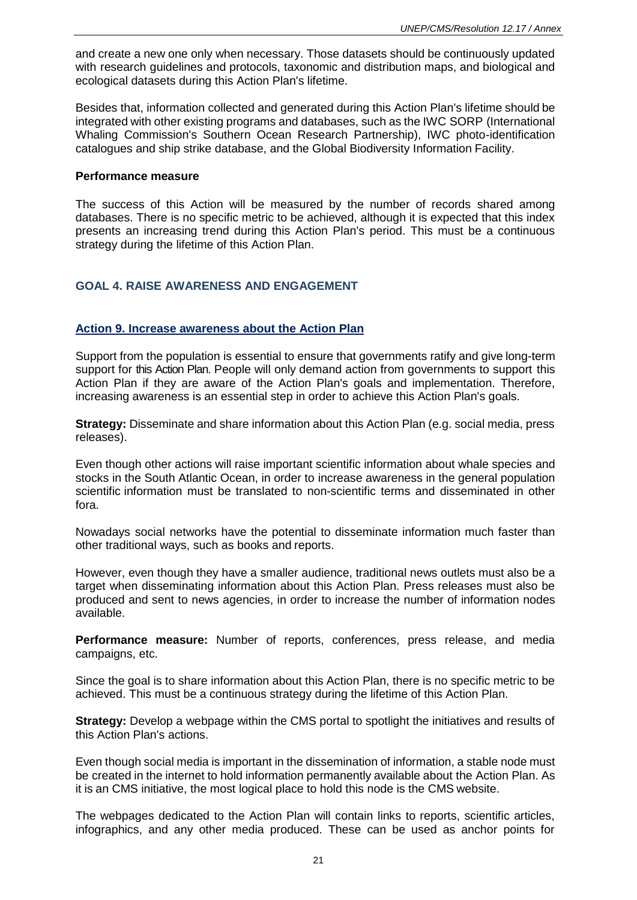and create a new one only when necessary. Those datasets should be continuously updated with research guidelines and protocols, taxonomic and distribution maps, and biological and ecological datasets during this Action Plan's lifetime.

Besides that, information collected and generated during this Action Plan's lifetime should be integrated with other existing programs and databases, such as the IWC SORP (International Whaling Commission's Southern Ocean Research Partnership), IWC photo-identification catalogues and ship strike database, and the Global Biodiversity Information Facility.

#### **Performance measure**

The success of this Action will be measured by the number of records shared among databases. There is no specific metric to be achieved, although it is expected that this index presents an increasing trend during this Action Plan's period. This must be a continuous strategy during the lifetime of this Action Plan.

# **GOAL 4. RAISE AWARENESS AND ENGAGEMENT**

## **Action 9. Increase awareness about the Action Plan**

Support from the population is essential to ensure that governments ratify and give long-term support for this Action Plan. People will only demand action from governments to support this Action Plan if they are aware of the Action Plan's goals and implementation. Therefore, increasing awareness is an essential step in order to achieve this Action Plan's goals.

**Strategy:** Disseminate and share information about this Action Plan (e.g. social media, press releases).

Even though other actions will raise important scientific information about whale species and stocks in the South Atlantic Ocean, in order to increase awareness in the general population scientific information must be translated to non-scientific terms and disseminated in other fora.

Nowadays social networks have the potential to disseminate information much faster than other traditional ways, such as books and reports.

However, even though they have a smaller audience, traditional news outlets must also be a target when disseminating information about this Action Plan. Press releases must also be produced and sent to news agencies, in order to increase the number of information nodes available.

**Performance measure:** Number of reports, conferences, press release, and media campaigns, etc.

Since the goal is to share information about this Action Plan, there is no specific metric to be achieved. This must be a continuous strategy during the lifetime of this Action Plan.

**Strategy:** Develop a webpage within the CMS portal to spotlight the initiatives and results of this Action Plan's actions.

Even though social media is important in the dissemination of information, a stable node must be created in the internet to hold information permanently available about the Action Plan. As it is an CMS initiative, the most logical place to hold this node is the CMS website.

The webpages dedicated to the Action Plan will contain links to reports, scientific articles, infographics, and any other media produced. These can be used as anchor points for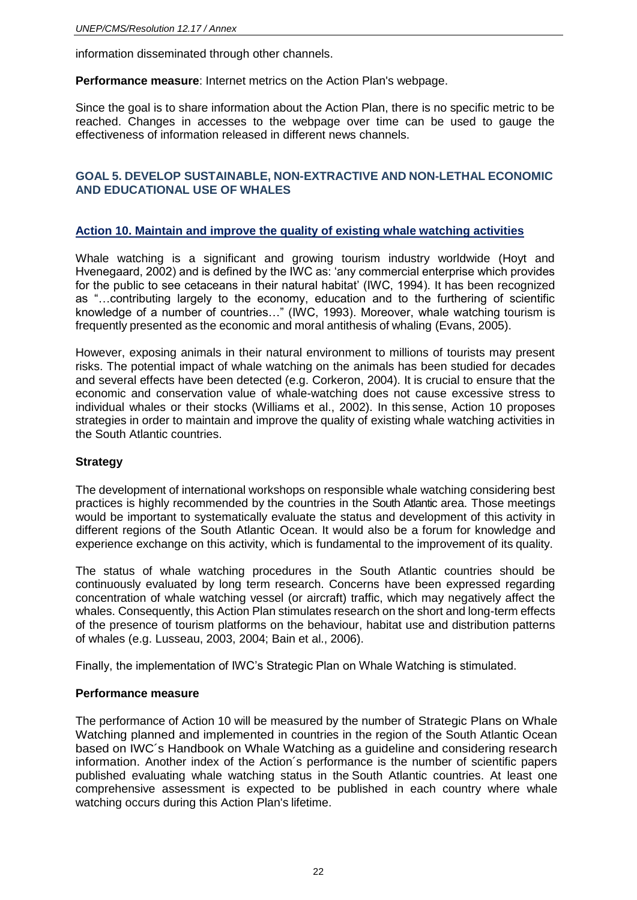information disseminated through other channels.

**Performance measure**: Internet metrics on the Action Plan's webpage.

Since the goal is to share information about the Action Plan, there is no specific metric to be reached. Changes in accesses to the webpage over time can be used to gauge the effectiveness of information released in different news channels.

## **GOAL 5. DEVELOP SUSTAINABLE, NON-EXTRACTIVE AND NON-LETHAL ECONOMIC AND EDUCATIONAL USE OF WHALES**

## **Action 10. Maintain and improve the quality of existing whale watching activities**

Whale watching is a significant and growing tourism industry worldwide (Hoyt and Hvenegaard, 2002) and is defined by the IWC as: 'any commercial enterprise which provides for the public to see cetaceans in their natural habitat' (IWC, 1994). It has been recognized as "…contributing largely to the economy, education and to the furthering of scientific knowledge of a number of countries…" (IWC, 1993). Moreover, whale watching tourism is frequently presented as the economic and moral antithesis of whaling (Evans, 2005).

However, exposing animals in their natural environment to millions of tourists may present risks. The potential impact of whale watching on the animals has been studied for decades and several effects have been detected (e.g. Corkeron, 2004). It is crucial to ensure that the economic and conservation value of whale-watching does not cause excessive stress to individual whales or their stocks (Williams et al., 2002). In this sense, Action 10 proposes strategies in order to maintain and improve the quality of existing whale watching activities in the South Atlantic countries.

#### **Strategy**

The development of international workshops on responsible whale watching considering best practices is highly recommended by the countries in the South Atlantic area. Those meetings would be important to systematically evaluate the status and development of this activity in different regions of the South Atlantic Ocean. It would also be a forum for knowledge and experience exchange on this activity, which is fundamental to the improvement of its quality.

The status of whale watching procedures in the South Atlantic countries should be continuously evaluated by long term research. Concerns have been expressed regarding concentration of whale watching vessel (or aircraft) traffic, which may negatively affect the whales. Consequently, this Action Plan stimulates research on the short and long-term effects of the presence of tourism platforms on the behaviour, habitat use and distribution patterns of whales (e.g. Lusseau, 2003, 2004; Bain et al., 2006).

Finally, the implementation of IWC's Strategic Plan on Whale Watching is stimulated.

#### **Performance measure**

The performance of Action 10 will be measured by the number of Strategic Plans on Whale Watching planned and implemented in countries in the region of the South Atlantic Ocean based on IWC´s Handbook on Whale Watching as a guideline and considering research information. Another index of the Action´s performance is the number of scientific papers published evaluating whale watching status in the South Atlantic countries. At least one comprehensive assessment is expected to be published in each country where whale watching occurs during this Action Plan's lifetime.